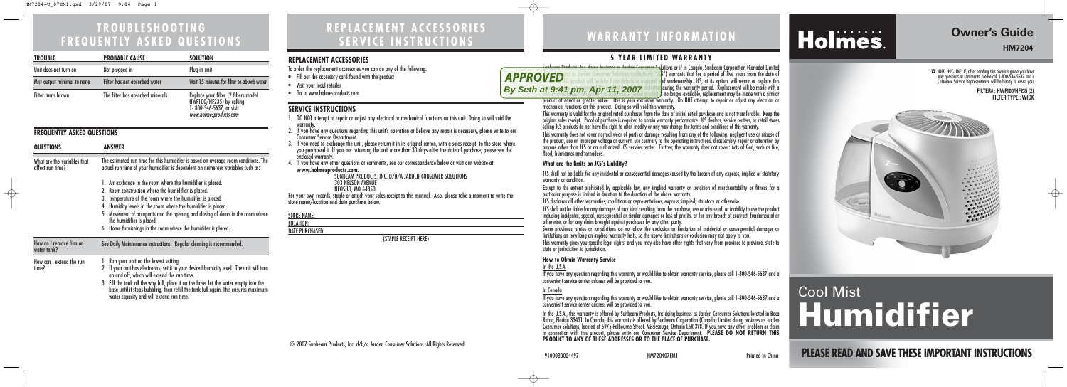## **REPLACEMENT ACCESSORIES SERVICE INSTRUCTIONS**

## **TROUBLESHOOTING FREQUENTLY ASKED QUESTIONS**

**PLEASE READ AND SAVE THESE IMPORTANT INSTRUCTIONS**

# **Owner's Guide**

**HM7204**

 $\bigoplus$ 

## **WARRANTY INFORMATION**

# Holmes.

# Cool Mist **Humidifier**

#### **5 YEAR LIMITED WARRANTY**

Sunbeam Products, Inc. doing business as Jarden Consumer Solutions or if in Canada, Sunbeam Corporation (Canada) Limited doing business as Jarden Consumer Solutions (collectively "JG") warrants that for a period of five years from the date of purchase, this product will be free from defects in material and workmanship. JCS, at its option, will repair or replace this  $p$  to be any component of the product found to be defective during the warranty period. Replacement will be made with a new or remanufactured product or component. If the product is no longer available, replacement may be made with a similar product of equal or greater value. This is your exclusive warranty. Do NOT attempt to repair or adjust any electrical or

mechanical functions on this product. Doing so will void this warranty.

This warranty is valid for the original retail purchaser from the date of initial retail purchase and is not transferable. Keep the original sales receipt. Proof of purchase is required to obtain warranty performance. JCS dealers, service centers, or retail stores selling JCS products do not have the right to alter, modify or any way change the terms and conditions of this warranty.

In the  $II S_A$ If you have any question regarding this warranty or would like to obtain warranty service, please call 1-800-546-5637 and a convenient service center address will be provided to you.

This warranty does not cover normal wear of parts or damage resulting from any of the following: negligent use or misuse of the product, use on improper voltage or current, use contrary to the operating instructions, disassembly, repair or alteration by anyone other than JCS or an authorized JCS service center. Further, the warranty does not cover: Acts of God, such as fire, flood, hurricanes and tornadoes.

#### **What are the limits on JCS's Liability?**

JCS shall not be liable for any incidental or consequential damages caused by the breach of any express, implied or statutory

warranty or condition.

Except to the extent prohibited by applicable law, any implied warranty or condition of merchantability or fitness for a particular purpose is limited in duration to the duration of the above warranty.

JCS disclaims all other warranties, conditions or representations, express, implied, statutory or otherwise.

JCS shall not be liable for any damages of any kind resulting from the purchase, use or misuse of, or inability to use the product including incidental, special, consequential or similar damages or loss of profits, or for any breach of contract, fundamental or otherwise, or for any claim brought against purchaser by any other party.

Some provinces, states or jurisdictions do not allow the exclusion or limitation of incidental or consequential damages or limitations on how long an implied warranty lasts, so the above limitations or exclusion may not apply to you.

This warranty gives you specific legal rights, and you may also have other rights that vary from province to province, state to state or jurisdiction to jurisdiction.

#### **How to Obtain Warranty Service**

#### In Canada

If you have any question regarding this warranty or would like to obtain warranty service, please call 1-800-546-5637 and a convenient service center address will be provided to you.

In the U.S.A., this warranty is offered by Sunbeam Products, Inc doing business as Jarden Consumer Solutions located in Boca Raton, Florida 33431. In Canada, this warranty is offered by Sunbeam Corporation (Canada) Limited doing business as Jarden Consumer Solutions, located at 5975 Falbourne Street, Mississauga, Ontario L5R 3V8. If you have any other problem or claim in connection with this product, please write our Consumer Service Department. **PLEASE DO NOT RETURN THIS PRODUCT TO ANY OF THESE ADDRESSES OR TO THE PLACE OF PURCHASE.** 

☎INFO HOT-LINE: If, after reading this owner's guide you have any questions or comments, please call 1-800-546-5637 and a Customer Service Representative will be happy to assist you.

#### **REPLACEMENT ACCESSORIES**

To order the replacement accessories you can do any of the following:

- Fill out the accessory card found with the product
- Visit your local retailer
- Go to www.holmesproducts.com

#### **SERVICE INSTRUCTIONS**

- 1. DO NOT attempt to repair or adjust any electrical or mechanical functions on this unit. Doing so will void the warranty.
- 2. If you have any questions regarding this unit's operation or believe any repair is necessary, please write to our Consumer Service Department.
- 3. If you need to exchange the unit, please return it in its original carton, with a sales receipt, to the store where you purchased it. If you are returning the unit more than 30 days after the date of purchase, please see the enclosed warranty.
- 4. If you have any other questions or comments, see our correspondence below or visit our website at **www.holmesproducts.com**.

SUNBEAM PRODUCTS, INC. D/B/A JARDEN CONSUMER SOLUTIONS 303 NELSON AVENUE NEOSHO, MO 64850

For your own records, staple or attach your sales receipt to this manual. Also, please take a moment to write the store name/location and date purchase below.

#### STORE NAME: LOCATION:

DATE PURCHASED:

(STAPLE RECEIPT HERE)

#### **FILTER# : HWF100/HF235 (2) FILTER TYPE : WICK**



| <b>TROUBLE</b>              | <b>PROBABLE CAUSE</b>            | <b>SOLUTION</b>                                                                                                         |
|-----------------------------|----------------------------------|-------------------------------------------------------------------------------------------------------------------------|
| Unit does not turn on       | Not plugged in                   | Plug in unit                                                                                                            |
| Mist output minimal to none | Filter has not absorbed water    | Wait 15 minutes for filter to absorb water                                                                              |
| Filter turns brown          | The filter has absorbed minerals | Replace your filter (2 filters model<br>HWF100/HF235) by calling<br>1- 800-546-5637, or visit<br>www.holmesproducts.com |

#### **FREQUENTLY ASKED QUESTIONS**

 $\bigoplus$ 

| <b>QUESTIONS</b>                                | <b>ANSWER</b>                                                                                                                                                                                                            |  |
|-------------------------------------------------|--------------------------------------------------------------------------------------------------------------------------------------------------------------------------------------------------------------------------|--|
| What are the variables that<br>affect run time? | The estimated run time for this humidifier is based on average room conditions. The<br>actual run time of your humidifier is dependent on numerous variables such as:                                                    |  |
|                                                 | 1. Air exchange in the room where the humidifier is placed.                                                                                                                                                              |  |
|                                                 | 2. Room construction where the humidifier is placed.                                                                                                                                                                     |  |
|                                                 | 3. Temperature of the room where the humidifier is placed.                                                                                                                                                               |  |
|                                                 | 4. Humidity levels in the room where the humidifier is placed.                                                                                                                                                           |  |
|                                                 | 5. Movement of occupants and the opening and closing of doors in the room where<br>the humidifier is placed.                                                                                                             |  |
|                                                 | 6. Home furnishings in the room where the humidifer is placed.                                                                                                                                                           |  |
| How do I remove film on<br>water tank?          | See Daily Maintenance instructions. Regular cleaning is recommended.                                                                                                                                                     |  |
| How can I extend the run                        | Run your unit on the lowest setting.                                                                                                                                                                                     |  |
| time?                                           | 2. If your unit has electronics, set it to your desired humidity level. The unit will turn<br>on and off, which will extend the run time.                                                                                |  |
|                                                 | 3. Fill the tank all the way full, place it on the base, let the water empty into the<br>base until it stops bubbling, then refill the tank full again. This ensures maximum<br>water capacity and will extend run time. |  |